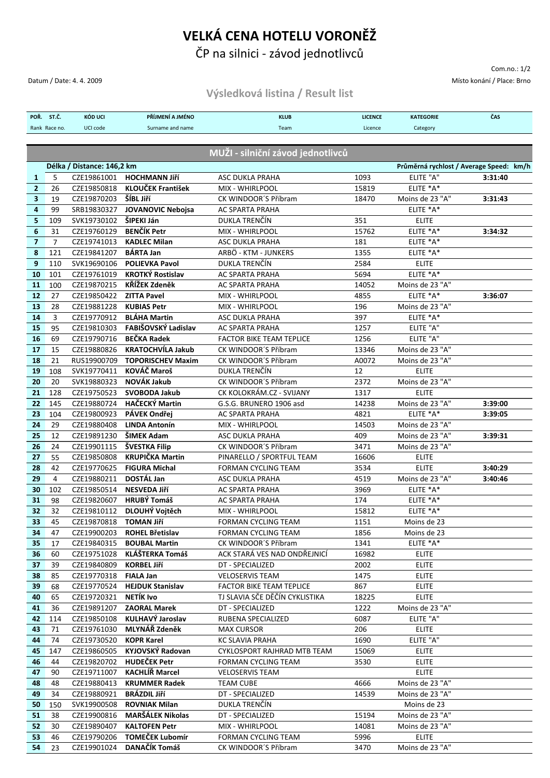## **VELKÁ CENA HOTELU VORONĚŽ**

ČP na silnici - závod jednotlivců

## Com.no.: 1/2 Datum / Date: 4. 4. 2009 Místo konání / Place: Brno

## **Výsledková listina / Result list**

|                         | POŘ. ST.Č.     | <b>KÓD UCI</b>             | PŘÍJMENÍ A JMÉNO                                | <b>KLUB</b>                         | <b>LICENCE</b> | <b>KATEGORIE</b>                        | ČAS     |  |
|-------------------------|----------------|----------------------------|-------------------------------------------------|-------------------------------------|----------------|-----------------------------------------|---------|--|
|                         | Rank Race no   | UCI code                   | Surname and name                                | Team                                | Licence        | Category                                |         |  |
|                         |                |                            |                                                 |                                     |                |                                         |         |  |
|                         |                |                            |                                                 | MUŽI - silniční závod jednotlivců   |                |                                         |         |  |
|                         |                |                            |                                                 |                                     |                |                                         |         |  |
|                         |                | Délka / Distance: 146,2 km |                                                 |                                     |                | Průměrná rychlost / Average Speed: km/h |         |  |
| 1                       | 5              | CZE19861001                | <b>HOCHMANN JIří</b>                            | ASC DUKLA PRAHA                     | 1093           | ELITE "A"                               | 3:31:40 |  |
| $\mathbf{2}$            | 26             | CZE19850818                | <b>KLOUČEK František</b>                        | MIX - WHIRLPOOL                     | 15819          | ELITE *A*                               |         |  |
| 3                       | 19             | CZE19870203                | ŠÍBL Jiří                                       | CK WINDOOR'S Příbram                | 18470          | Moins de 23 "A"                         | 3:31:43 |  |
| 4                       | 99             | SRB19830327                | <b>JOVANOVIC Nebojsa</b>                        | AC SPARTA PRAHA                     |                | ELITE *A*                               |         |  |
| 5                       | 109            | SVK19730102                | ŠIPEKI Ján                                      | DUKLA TRENČÍN                       | 351            | <b>ELITE</b>                            |         |  |
| 6                       | 31             | CZE19760129                | <b>BENČÍK Petr</b>                              | MIX - WHIRLPOOL                     | 15762          | ELITE *A*                               | 3:34:32 |  |
| $\overline{\mathbf{z}}$ | $\overline{7}$ | CZE19741013                | <b>KADLEC Milan</b>                             | ASC DUKLA PRAHA                     | 181            | ELITE *A*                               |         |  |
| 8                       | 121            | CZE19841207                | <b>BÁRTA Jan</b>                                | ARBÖ - KTM - JUNKERS                | 1355           | ELITE *A*                               |         |  |
| 9                       | 110            | SVK19690106                | <b>POLIEVKA Pavol</b>                           | DUKLA TRENČÍN                       | 2584           | <b>ELITE</b>                            |         |  |
| 10                      | 101            | CZE19761019                | <b>KROTKÝ Rostislav</b>                         | AC SPARTA PRAHA                     | 5694           | ELITE *A*                               |         |  |
| 11                      | 100            | CZE19870215                | KŘÍŽEK Zdeněk                                   | AC SPARTA PRAHA                     | 14052          | Moins de 23 "A"                         |         |  |
| 12                      | 27             | CZE19850422                | <b>ZITTA Pavel</b>                              | MIX - WHIRLPOOL                     | 4855           | ELITE *A*                               | 3:36:07 |  |
| 13                      | 28             | CZE19881228                | <b>KUBIAS Petr</b>                              | MIX - WHIRLPOOL                     | 196            | Moins de 23 "A"                         |         |  |
| 14                      | 3              | CZE19770912                | <b>BLÁHA Martin</b>                             | ASC DUKLA PRAHA                     | 397            | ELITE *A*                               |         |  |
| 15                      | 95             | CZE19810303                | FABIŠOVSKÝ Ladislav                             | AC SPARTA PRAHA                     | 1257           | ELITE "A"                               |         |  |
| 16                      | 69             | CZE19790716                | <b>BEČKA Radek</b>                              | <b>FACTOR BIKE TEAM TEPLICE</b>     | 1256           | ELITE "A"                               |         |  |
| 17                      | 15             | CZE19880826                | <b>KRATOCHVÍLA Jakub</b>                        | CK WINDOOR'S Příbram                | 13346          | Moins de 23 "A"                         |         |  |
| 18                      | 21             | RUS19900709                | <b>TOPORISCHEV Maxim</b>                        | CK WINDOOR'S Příbram                | A0072          | Moins de 23 "A"                         |         |  |
| 19                      | 108            | SVK19770411                | KOVÁČ Maroš                                     | DUKLA TRENČÍN                       | 12             | <b>ELITE</b>                            |         |  |
| 20                      | 20             | SVK19880323                | NOVÁK Jakub                                     | CK WINDOOR'S Příbram                | 2372           | Moins de 23 "A"                         |         |  |
| 21                      | 128            | CZE19750523                | <b>SVOBODA Jakub</b>                            | CK KOLOKRÁM.CZ - SVIJANY            | 1317           | <b>ELITE</b>                            |         |  |
| 22                      | 145            | CZE19880724                | <b>HAČECKÝ Martin</b>                           | G.S.G. BRUNERO 1906 asd             | 14238          | Moins de 23 "A"                         | 3:39:00 |  |
| 23                      | 104            | CZE19800923                | PÁVEK Ondřej                                    | AC SPARTA PRAHA                     | 4821           | ELITE *A*                               | 3:39:05 |  |
| 24                      | 29             | CZE19880408                | <b>LINDA Antonín</b>                            | MIX - WHIRLPOOL                     | 14503          | Moins de 23 "A"                         |         |  |
| 25                      | 12             | CZE19891230                | ŠIMEK Adam                                      | ASC DUKLA PRAHA                     | 409            | Moins de 23 "A"                         | 3:39:31 |  |
| 26                      | 24             | CZE19901115                | ŠVESTKA Filip                                   | CK WINDOOR'S Příbram                | 3471           | Moins de 23 "A"                         |         |  |
| 27                      | 55             | CZE19850808                | <b>KRUPIČKA Martin</b>                          | PINARELLO / SPORTFUL TEAM           | 16606          | <b>ELITE</b>                            |         |  |
| 28                      | 42             | CZE19770625                | <b>FIGURA Michal</b>                            | <b>FORMAN CYCLING TEAM</b>          | 3534           | <b>ELITE</b>                            | 3:40:29 |  |
| 29                      | 4              | CZE19880211                | <b>DOSTÁL Jan</b>                               | ASC DUKLA PRAHA                     | 4519           | Moins de 23 "A"                         | 3:40:46 |  |
| 30                      | 102            | CZE19850514                | NESVEDA Jiří                                    | AC SPARTA PRAHA                     | 3969           | ELITE *A*                               |         |  |
| 31                      | 98             | CZE19820607                | <b>HRUBÝ Tomáš</b>                              | AC SPARTA PRAHA                     | 174            | ELITE *A*                               |         |  |
| 32                      | 32             | CZE19810112                | DLOUHÝ Vojtěch                                  | MIX - WHIRLPOOL                     | 15812          | ELITE *A*                               |         |  |
| 33                      | 45             | CZE19870818                | <b>TOMAN Jiří</b>                               | FORMAN CYCLING TEAM                 | 1151           | Moins de 23                             |         |  |
| 34                      | 47             | CZE19900203                | <b>ROHEL Břetislav</b>                          | FORMAN CYCLING TEAM                 | 1856           | Moins de 23                             |         |  |
| 35                      | 17             | CZE19840315                | <b>BOUBAL Martin</b>                            | CK WINDOOR'S Příbram                | 1341           | ELITE *A*                               |         |  |
| 36                      | 60             | CZE19751028                | KLÁŠTERKA Tomáš                                 | ACK STARÁ VES NAD ONDŘEJNICÍ        | 16982          | <b>ELITE</b>                            |         |  |
| 37                      | 39             | CZE19840809                | <b>KORBEL Jiří</b>                              | DT - SPECIALIZED                    | 2002           | <b>ELITE</b>                            |         |  |
| 38                      | 85             | CZE19770318                | <b>FIALA Jan</b>                                | <b>VELOSERVIS TEAM</b>              | 1475           | <b>ELITE</b>                            |         |  |
| 39                      | 68             | CZE19770524                | <b>HEJDUK Stanislav</b>                         | FACTOR BIKE TEAM TEPLICE            | 867            | <b>ELITE</b>                            |         |  |
| 40                      | 65             | CZE19720321                | NETÍK Ivo                                       | TJ SLAVIA SČE DĚČÍN CYKLISTIKA      | 18225          | <b>ELITE</b>                            |         |  |
| 41                      | 36             | CZE19891207                | <b>ZAORAL Marek</b>                             | DT - SPECIALIZED                    | 1222           | Moins de 23 "A"                         |         |  |
| 42                      | 114            | CZE19850108                | KULHAVÝ Jaroslav                                | RUBENA SPECIALIZED                  | 6087           | ELITE "A"                               |         |  |
| 43                      | 71             | CZE19761030                | MLYNÁŘ Zdeněk                                   | <b>MAX CURSOR</b>                   | 206            | <b>ELITE</b>                            |         |  |
| 44                      | 74             | CZE19730520                | <b>KOPR Karel</b>                               | <b>KC SLAVIA PRAHA</b>              | 1690           | ELITE "A"                               |         |  |
| 45                      | 147            | CZE19860505                | KYJOVSKÝ Radovan                                | CYKLOSPORT RAJHRAD MTB TEAM         | 15069          | <b>ELITE</b>                            |         |  |
| 46                      | 44             | CZE19820702                | <b>HUDEČEK Petr</b>                             | FORMAN CYCLING TEAM                 | 3530           | <b>ELITE</b>                            |         |  |
| 47                      | 90             | CZE19711007                | <b>KACHLÍŘ Marcel</b>                           | <b>VELOSERVIS TEAM</b>              |                | <b>ELITE</b>                            |         |  |
| 48                      | 48             | CZE19880413                | <b>KRUMMER Radek</b>                            | <b>TEAM CUBE</b>                    | 4666           | Moins de 23 "A"                         |         |  |
| 49                      | 34             | CZE19880921                | <b>BRÁZDIL Jiří</b>                             | DT - SPECIALIZED                    | 14539          | Moins de 23 "A"                         |         |  |
| 50                      | 150            | SVK19900508                | <b>ROVNIAK Milan</b><br><b>MARŠÁLEK Nikolas</b> | DUKLA TRENČÍN                       |                | Moins de 23                             |         |  |
| 51                      | 38             | CZE19900816<br>CZE19890407 | <b>KALTOFEN Petr</b>                            | DT - SPECIALIZED<br>MIX - WHIRLPOOL | 15194<br>14081 | Moins de 23 "A"<br>Moins de 23 "A"      |         |  |
| 52                      | 30             |                            | <b>TOMEČEK Lubomír</b>                          |                                     |                |                                         |         |  |
| 53                      | 46             | CZE19790206                |                                                 | FORMAN CYCLING TEAM                 | 5996           | <b>ELITE</b>                            |         |  |
| 54                      | 23             | CZE19901024                | DANAČÍK Tomáš                                   | CK WINDOOR'S Příbram                | 3470           | Moins de 23 "A"                         |         |  |